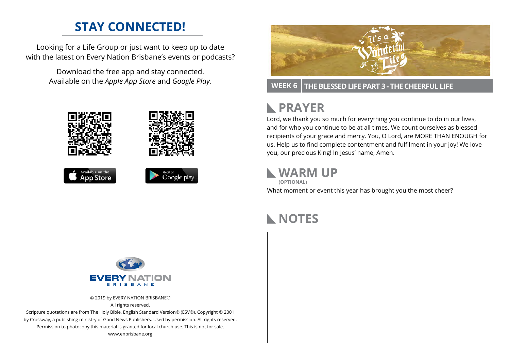# **STAY CONNECTED!**

Looking for a Life Group or just want to keep up to date with the latest on Every Nation Brisbane's events or podcasts?

> Download the free app and stay connected. Available on the *Apple App Store* and *Google Play*.





**WEEK 6 THE BLESSED LIFE PART 3 - THE CHEERFUL LIFE**

# **RAYER**

Lord, we thank you so much for everything you continue to do in our lives, and for who you continue to be at all times. We count ourselves as blessed recipients of your grace and mercy. You, O Lord, are MORE THAN ENOUGH for us. Help us to find complete contentment and fulfilment in your joy! We love you, our precious King! In Jesus' name, Amen.

### **WARM UP**

What moment or event this year has brought you the most cheer? **(OPTIONAL)**

# **NOTES**



© 2019 by EVERY NATION BRISBANE® All rights reserved.

Scripture quotations are from The Holy Bible, English Standard Version® (ESV®), Copyright © 2001 by Crossway, a publishing ministry of Good News Publishers. Used by permission. All rights reserved. Permission to photocopy this material is granted for local church use. This is not for sale. www.enbrisbane.org